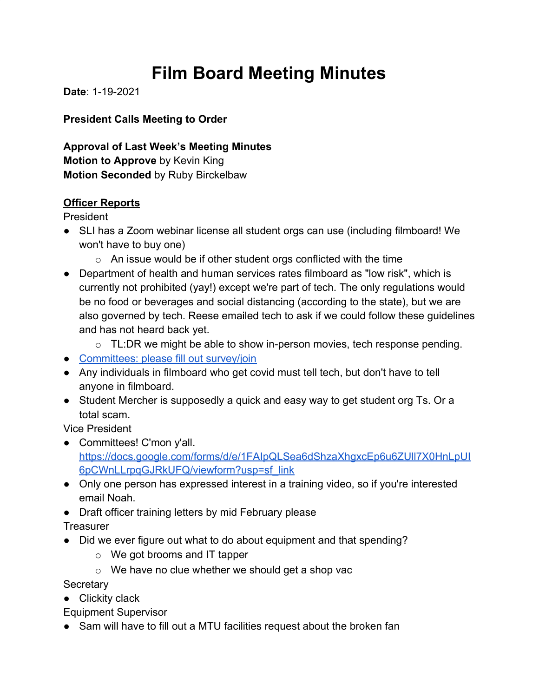# **Film Board Meeting Minutes**

**Date**: 1-19-2021

**President Calls Meeting to Order**

**Approval of Last Week's Meeting Minutes Motion to Approve** by Kevin King **Motion Seconded** by Ruby Birckelbaw

## **Officer Reports**

President

- SLI has a Zoom webinar license all student orgs can use (including filmboard! We won't have to buy one)
	- $\circ$  An issue would be if other student orgs conflicted with the time
- Department of health and human services rates filmboard as "low risk", which is currently not prohibited (yay!) except we're part of tech. The only regulations would be no food or beverages and social distancing (according to the state), but we are also governed by tech. Reese emailed tech to ask if we could follow these guidelines and has not heard back yet.
	- $\circ$  TL:DR we might be able to show in-person movies, tech response pending.
- [Committees: please fill out survey/join](https://docs.google.com/forms/d/e/1FAIpQLSea6dShzaXhgxcEp6u6ZUll7X0HnLpUI6pCWnLLrpqGJRkUFQ/viewform?usp=sf_link)
- Any individuals in filmboard who get covid must tell tech, but don't have to tell anyone in filmboard.
- Student Mercher is supposedly a quick and easy way to get student org Ts. Or a total scam.

Vice President

- Committees! C'mon y'all. [https://docs.google.com/forms/d/e/1FAIpQLSea6dShzaXhgxcEp6u6ZUll7X0HnLpUI](https://docs.google.com/forms/d/e/1FAIpQLSea6dShzaXhgxcEp6u6ZUll7X0HnLpUI6pCWnLLrpqGJRkUFQ/viewform?usp=sf_link) [6pCWnLLrpqGJRkUFQ/viewform?usp=sf\\_link](https://docs.google.com/forms/d/e/1FAIpQLSea6dShzaXhgxcEp6u6ZUll7X0HnLpUI6pCWnLLrpqGJRkUFQ/viewform?usp=sf_link)
- Only one person has expressed interest in a training video, so if you're interested email Noah.
- Draft officer training letters by mid February please

**Treasurer** 

- Did we ever figure out what to do about equipment and that spending?
	- o We got brooms and IT tapper
	- o We have no clue whether we should get a shop vac

**Secretary** 

● Clickity clack

Equipment Supervisor

● Sam will have to fill out a MTU facilities request about the broken fan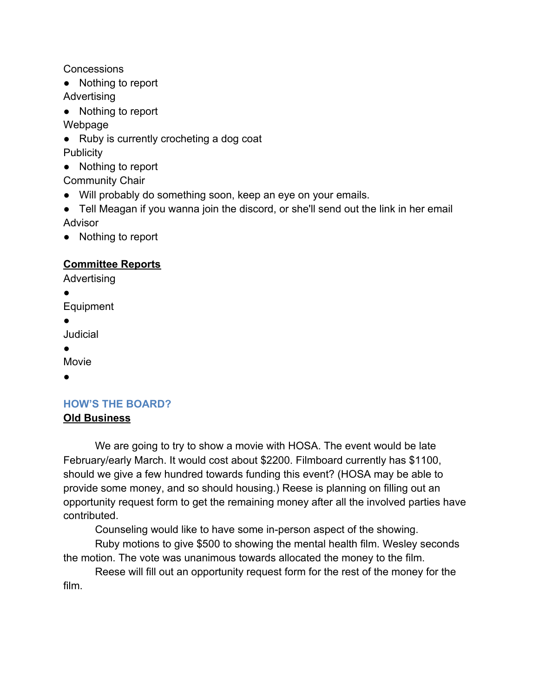**Concessions** 

- Nothing to report Advertising
- Nothing to report

Webpage

- Ruby is currently crocheting a dog coat **Publicity**
- Nothing to report

Community Chair

- Will probably do something soon, keep an eye on your emails.
- Tell Meagan if you wanna join the discord, or she'll send out the link in her email Advisor
- Nothing to report

## **Committee Reports**

Advertising

●

Equipment

●

Judicial

●

Movie

●

## **HOW'S THE BOARD?**

## **Old Business**

We are going to try to show a movie with HOSA. The event would be late February/early March. It would cost about \$2200. Filmboard currently has \$1100, should we give a few hundred towards funding this event? (HOSA may be able to provide some money, and so should housing.) Reese is planning on filling out an opportunity request form to get the remaining money after all the involved parties have contributed.

Counseling would like to have some in-person aspect of the showing.

Ruby motions to give \$500 to showing the mental health film. Wesley seconds the motion. The vote was unanimous towards allocated the money to the film.

Reese will fill out an opportunity request form for the rest of the money for the film.